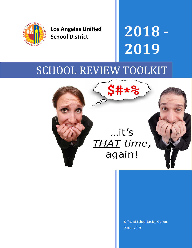

**Los Angeles Unified School District**

**2018 - 2019**

# SCHOOL REVIEW TOOLKIT



Office of School Design Options 2018 - 2019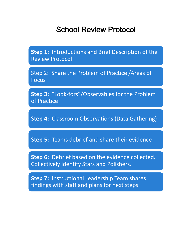### School Review Protocol

**Step 1:** Introductions and Brief Description of the Review Protocol

Step 2: Share the Problem of Practice /Areas of Focus

**Step 3:** "Look-fors"/Observables for the Problem of Practice

**Step 4:** Classroom Observations (Data Gathering)

**Step 5:** Teams debrief and share their evidence

**Step 6:** Debrief based on the evidence collected. Collectively identify Stars and Polishers.

**Step 7:** Instructional Leadership Team shares findings with staff and plans for next steps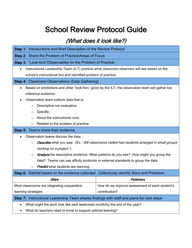## School Review Protocol Guide

#### (What does it look like?)

| <b>Step 1:</b> Introductions and Brief Description of the Review Protocol                                   |                                                                                                   |  |  |  |
|-------------------------------------------------------------------------------------------------------------|---------------------------------------------------------------------------------------------------|--|--|--|
| Step 2: Share the Problem of Practice/Areas of Focus                                                        |                                                                                                   |  |  |  |
| Step 3: "Look-fors"/Observables for the Problem of Practice                                                 |                                                                                                   |  |  |  |
|                                                                                                             | Instructional Leadership Team (ILT) predicts what classroom observers will see based on the       |  |  |  |
| school's instructional foci and identified problem of practice.                                             |                                                                                                   |  |  |  |
| <b>Step 4: Classroom Observations (Data Gathering)</b>                                                      |                                                                                                   |  |  |  |
|                                                                                                             | Based on predictions and other "look-fors" given by the ILT, the observation team will gather low |  |  |  |
| inference evidence.                                                                                         |                                                                                                   |  |  |  |
| Observation team collects data that is:                                                                     |                                                                                                   |  |  |  |
| Descriptive not evaluative;<br>$\circ$                                                                      |                                                                                                   |  |  |  |
| Specific;<br>$\circ$                                                                                        |                                                                                                   |  |  |  |
| About the instructional core;<br>$\circ$                                                                    |                                                                                                   |  |  |  |
| Related to the problem of practice.<br>$\circ$                                                              |                                                                                                   |  |  |  |
| <b>Step 5: Teams share their evidence</b>                                                                   |                                                                                                   |  |  |  |
| Observation teams discuss the data:                                                                         |                                                                                                   |  |  |  |
| <b>Describe</b> what you saw: (Ex. "8/8 classrooms visited had students arranged in small groups<br>$\circ$ |                                                                                                   |  |  |  |
| working on a project.")                                                                                     |                                                                                                   |  |  |  |
| $\circ$                                                                                                     | Analyze the descriptive evidence: What patterns do you see? How might you group the               |  |  |  |
| data? Teams can use affinity protocols or external standards to group the data.                             |                                                                                                   |  |  |  |
| <b>Predict</b> what students are learning.<br>$\circ$                                                       |                                                                                                   |  |  |  |
| Step 6: Debrief based on the evidence collected. Collectively identify Stars and Polishers.                 |                                                                                                   |  |  |  |
| <b>Stars</b>                                                                                                | Polishers                                                                                         |  |  |  |
| Most classrooms are integrating cooperative                                                                 | How do we improve assessment of each student's                                                    |  |  |  |
| contribution?<br>learning strategies                                                                        |                                                                                                   |  |  |  |
| Step 7: Instructional Leadership Team shares findings with staff and plans for next steps                   |                                                                                                   |  |  |  |
| What might the work look like next week/next month/by the end of the year?                                  |                                                                                                   |  |  |  |
|                                                                                                             | What do teachers need to know to support optimal learning?                                        |  |  |  |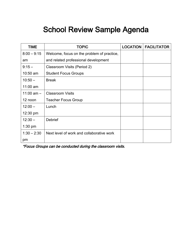## School Review Sample Agenda

| TIME               | <b>TOPIC</b>                               | <b>LOCATION</b> | <b>FACILITATOR</b> |
|--------------------|--------------------------------------------|-----------------|--------------------|
| $8:00 - 9:15$      | Welcome, focus on the problem of practice, |                 |                    |
| am                 | and related professional development       |                 |                    |
| $9:15 -$           | Classroom Visits (Period 2)                |                 |                    |
| 10:50 am           | <b>Student Focus Groups</b>                |                 |                    |
| $10:50 -$          | <b>Break</b>                               |                 |                    |
| $11:00$ am         |                                            |                 |                    |
| 11:00 am $-$       | <b>Classroom Visits</b>                    |                 |                    |
| 12 noon            | <b>Teacher Focus Group</b>                 |                 |                    |
| $12:00 -$          | Lunch                                      |                 |                    |
| $12:30 \text{ pm}$ |                                            |                 |                    |
| $12:30 -$          | <b>Debrief</b>                             |                 |                    |
| $1:30$ pm          |                                            |                 |                    |
| $1:30 - 2:30$      | Next level of work and collaborative work  |                 |                    |
| pm                 |                                            |                 |                    |

\*Focus Groups can be conducted during the classroom visits.